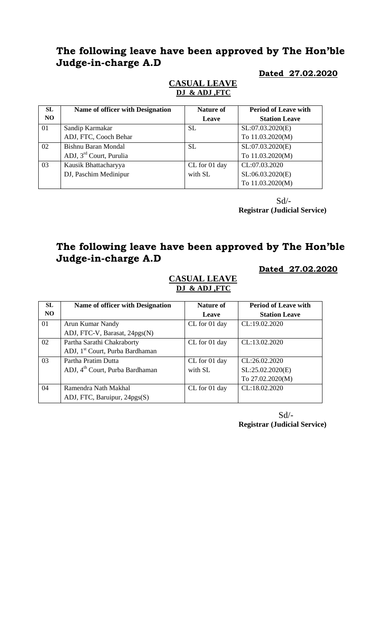## **The following leave have been approved by The Hon'ble Judge-in-charge A.D**

#### **Dated 27.02.2020**

### **CASUAL LEAVE DJ & ADJ ,FTC**

| SL | <b>Name of officer with Designation</b> | <b>Nature of</b> | <b>Period of Leave with</b> |
|----|-----------------------------------------|------------------|-----------------------------|
| NO |                                         | Leave            | <b>Station Leave</b>        |
| 01 | Sandip Karmakar                         | <b>SL</b>        | SL:07.03.2020(E)            |
|    | ADJ, FTC, Cooch Behar                   |                  | To 11.03.2020(M)            |
| 02 | Bishnu Baran Mondal                     | <b>SL</b>        | SL:07.03.2020(E)            |
|    | ADJ, 3 <sup>rd</sup> Court, Purulia     |                  | To 11.03.2020(M)            |
| 03 | Kausik Bhattacharyya                    | CL for 01 day    | CL:07.03.2020               |
|    | DJ, Paschim Medinipur                   | with SL          | SL:06.03.2020(E)            |
|    |                                         |                  | To 11.03.2020(M)            |

 Sd/- **Registrar (Judicial Service)**

# **The following leave have been approved by The Hon'ble Judge-in-charge A.D**

**Dated 27.02.2020**

#### **CASUAL LEAVE DJ & ADJ ,FTC**

| <b>SL</b>      | Name of officer with Designation            | <b>Nature of</b> | <b>Period of Leave with</b> |
|----------------|---------------------------------------------|------------------|-----------------------------|
| N <sub>O</sub> |                                             | Leave            | <b>Station Leave</b>        |
| 01             | Arun Kumar Nandy                            | CL for 01 day    | CL:19.02.2020               |
|                | ADJ, FTC-V, Barasat, 24pgs(N)               |                  |                             |
| 02             | Partha Sarathi Chakraborty                  | CL for 01 day    | CL:13.02.2020               |
|                | ADJ, 1 <sup>st</sup> Court, Purba Bardhaman |                  |                             |
| 03             | Partha Pratim Dutta                         | CL for 01 day    | CL:26.02.2020               |
|                | ADJ, 4 <sup>th</sup> Court, Purba Bardhaman | with SL          | SL:25.02.2020(E)            |
|                |                                             |                  | To 27.02.2020(M)            |
| 04             | Ramendra Nath Makhal                        | CL for 01 day    | CL:18.02.2020               |
|                | ADJ, FTC, Baruipur, 24pgs(S)                |                  |                             |

 Sd/- **Registrar (Judicial Service)**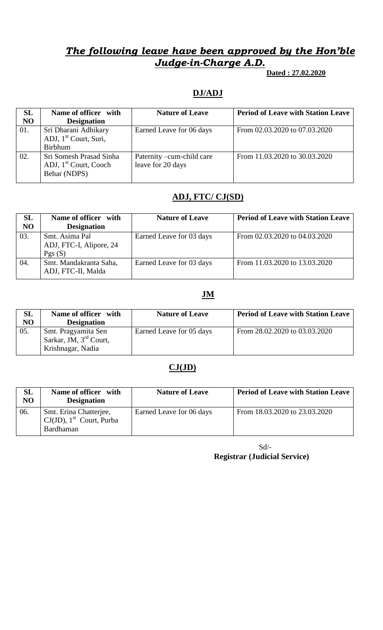# *The following leave have been approved by the Hon'ble Judge-in-Charge A.D.*

 **Dated : 27.02.2020**

### **DJ/ADJ**

| SL<br><b>NO</b> | Name of officer with                                                         | <b>Nature of Leave</b>                         | <b>Period of Leave with Station Leave</b> |
|-----------------|------------------------------------------------------------------------------|------------------------------------------------|-------------------------------------------|
|                 | <b>Designation</b>                                                           |                                                |                                           |
| 01.             | Sri Dharani Adhikary                                                         | Earned Leave for 06 days                       | From 02.03.2020 to 07.03.2020             |
|                 | ADJ, 1 <sup>st</sup> Court, Suri,                                            |                                                |                                           |
|                 | <b>Birbhum</b>                                                               |                                                |                                           |
| 02.             | Sri Somesh Prasad Sinha<br>ADJ, 1 <sup>st</sup> Court, Cooch<br>Behar (NDPS) | Paternity –cum-child care<br>leave for 20 days | From 11.03.2020 to 30.03.2020             |

### **ADJ, FTC/ CJ(SD)**

| <b>SL</b><br>N <sub>O</sub> | Name of officer with<br><b>Designation</b>          | <b>Nature of Leave</b>   | <b>Period of Leave with Station Leave</b> |
|-----------------------------|-----------------------------------------------------|--------------------------|-------------------------------------------|
| 03.                         | Smt. Asima Pal<br>ADJ, FTC-I, Alipore, 24<br>Pgs(S) | Earned Leave for 03 days | From 02.03.2020 to 04.03.2020             |
| 04.                         | Smt. Mandakranta Saha,<br>ADJ, FTC-II, Malda        | Earned Leave for 03 days | From 11.03.2020 to 13.03.2020             |

### **JM**

| SL<br>N <sub>O</sub> | Name of officer with<br><b>Designation</b>                           | <b>Nature of Leave</b>   | <b>Period of Leave with Station Leave</b> |
|----------------------|----------------------------------------------------------------------|--------------------------|-------------------------------------------|
| 05.                  | Smt. Pragyamita Sen<br>Sarkar, JM, $3rd$ Court,<br>Krishnagar, Nadia | Earned Leave for 05 days | From 28.02.2020 to 03.03.2020             |

### **CJ(JD)**

| SL<br>N <sub>O</sub> | Name of officer with<br><b>Designation</b>                                          | <b>Nature of Leave</b>   | <b>Period of Leave with Station Leave</b> |
|----------------------|-------------------------------------------------------------------------------------|--------------------------|-------------------------------------------|
| 06.                  | Smt. Erina Chatterjee,<br>$\big $ CJ(JD), 1 <sup>st</sup> Court, Purba<br>Bardhaman | Earned Leave for 06 days | From 18.03.2020 to 23.03.2020             |

Sd/- **Registrar (Judicial Service)**